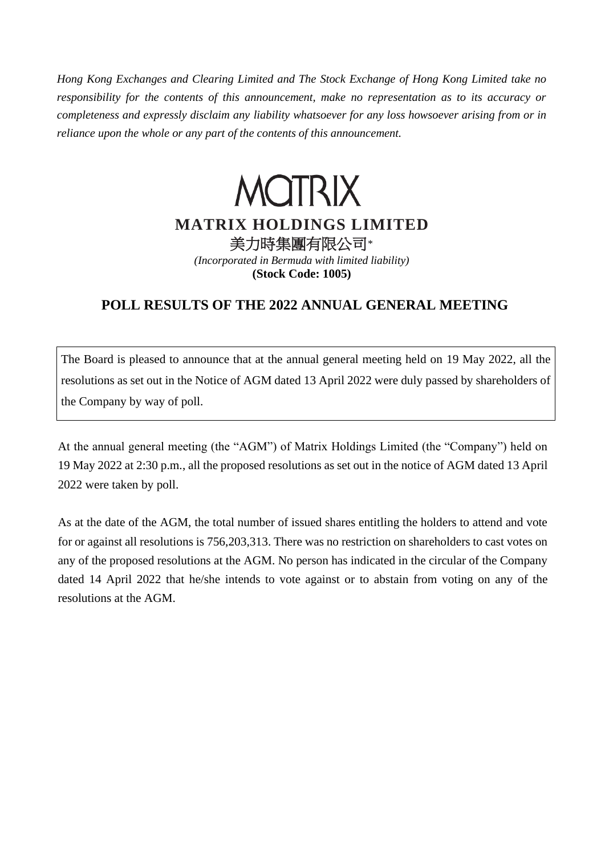*Hong Kong Exchanges and Clearing Limited and The Stock Exchange of Hong Kong Limited take no responsibility for the contents of this announcement, make no representation as to its accuracy or completeness and expressly disclaim any liability whatsoever for any loss howsoever arising from or in reliance upon the whole or any part of the contents of this announcement.*

## **MOTRIX MATRIX HOLDINGS LIMITED** 美力時集團有限公司*\**

*(Incorporated in Bermuda with limited liability)* **(Stock Code: 1005)**

## **POLL RESULTS OF THE 2022 ANNUAL GENERAL MEETING**

The Board is pleased to announce that at the annual general meeting held on 19 May 2022, all the resolutions as set out in the Notice of AGM dated 13 April 2022 were duly passed by shareholders of the Company by way of poll.

At the annual general meeting (the "AGM") of Matrix Holdings Limited (the "Company") held on 19 May 2022 at 2:30 p.m., all the proposed resolutions as set out in the notice of AGM dated 13 April 2022 were taken by poll.

As at the date of the AGM, the total number of issued shares entitling the holders to attend and vote for or against all resolutions is 756,203,313. There was no restriction on shareholders to cast votes on any of the proposed resolutions at the AGM. No person has indicated in the circular of the Company dated 14 April 2022 that he/she intends to vote against or to abstain from voting on any of the resolutions at the AGM.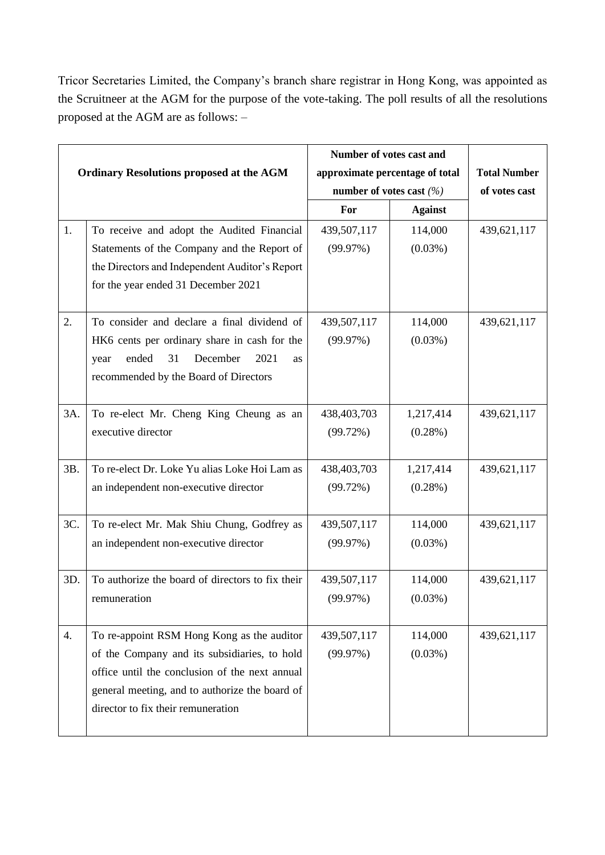Tricor Secretaries Limited, the Company's branch share registrar in Hong Kong, was appointed as the Scruitneer at the AGM for the purpose of the vote-taking. The poll results of all the resolutions proposed at the AGM are as follows: –

|                                                 |                                                  | Number of votes cast and                                      |                |                                      |
|-------------------------------------------------|--------------------------------------------------|---------------------------------------------------------------|----------------|--------------------------------------|
| <b>Ordinary Resolutions proposed at the AGM</b> |                                                  | approximate percentage of total<br>number of votes cast $(%)$ |                | <b>Total Number</b><br>of votes cast |
|                                                 |                                                  | For                                                           | <b>Against</b> |                                      |
| 1.                                              | To receive and adopt the Audited Financial       | 439,507,117                                                   | 114,000        | 439,621,117                          |
|                                                 | Statements of the Company and the Report of      | (99.97%)                                                      | $(0.03\%)$     |                                      |
|                                                 | the Directors and Independent Auditor's Report   |                                                               |                |                                      |
|                                                 | for the year ended 31 December 2021              |                                                               |                |                                      |
| 2.                                              | To consider and declare a final dividend of      | 439,507,117                                                   | 114,000        | 439,621,117                          |
|                                                 | HK6 cents per ordinary share in cash for the     | (99.97%)                                                      | $(0.03\%)$     |                                      |
|                                                 | 31<br>ended<br>December<br>2021<br>year<br>as    |                                                               |                |                                      |
|                                                 | recommended by the Board of Directors            |                                                               |                |                                      |
| 3A.                                             | To re-elect Mr. Cheng King Cheung as an          | 438,403,703                                                   | 1,217,414      | 439,621,117                          |
|                                                 | executive director                               | (99.72%)                                                      | $(0.28\%)$     |                                      |
|                                                 |                                                  |                                                               |                |                                      |
| 3B.                                             | To re-elect Dr. Loke Yu alias Loke Hoi Lam as    | 438,403,703                                                   | 1,217,414      | 439,621,117                          |
|                                                 | an independent non-executive director            | (99.72%)                                                      | $(0.28\%)$     |                                      |
| 3C.                                             | To re-elect Mr. Mak Shiu Chung, Godfrey as       | 439,507,117                                                   | 114,000        | 439,621,117                          |
|                                                 | an independent non-executive director            | (99.97%)                                                      | $(0.03\%)$     |                                      |
| 3D.                                             | To authorize the board of directors to fix their | 439,507,117                                                   | 114,000        | 439,621,117                          |
|                                                 | remuneration                                     | (99.97%)                                                      | $(0.03\%)$     |                                      |
|                                                 |                                                  |                                                               |                |                                      |
| 4.                                              | To re-appoint RSM Hong Kong as the auditor       | 439,507,117                                                   | 114,000        | 439,621,117                          |
|                                                 | of the Company and its subsidiaries, to hold     | (99.97%)                                                      | $(0.03\%)$     |                                      |
|                                                 | office until the conclusion of the next annual   |                                                               |                |                                      |
|                                                 | general meeting, and to authorize the board of   |                                                               |                |                                      |
|                                                 | director to fix their remuneration               |                                                               |                |                                      |
|                                                 |                                                  |                                                               |                |                                      |